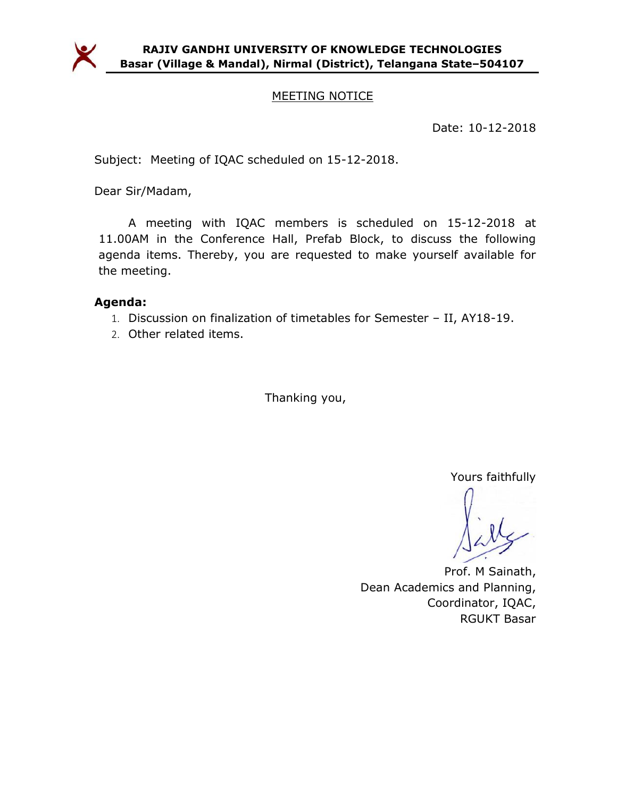

## MEETING NOTICE

Date: 10-12-2018

Subject: Meeting of IQAC scheduled on 15-12-2018.

Dear Sir/Madam,

A meeting with IQAC members is scheduled on 15-12-2018 at 11.00AM in the Conference Hall, Prefab Block, to discuss the following agenda items. Thereby, you are requested to make yourself available for the meeting.

## Agenda:

- 1. Discussion on finalization of timetables for Semester II, AY18-19.
- 2. Other related items.

Thanking you,

Yours faithfully

Prof. M Sainath, Dean Academics and Planning, Coordinator, IQAC, RGUKT Basar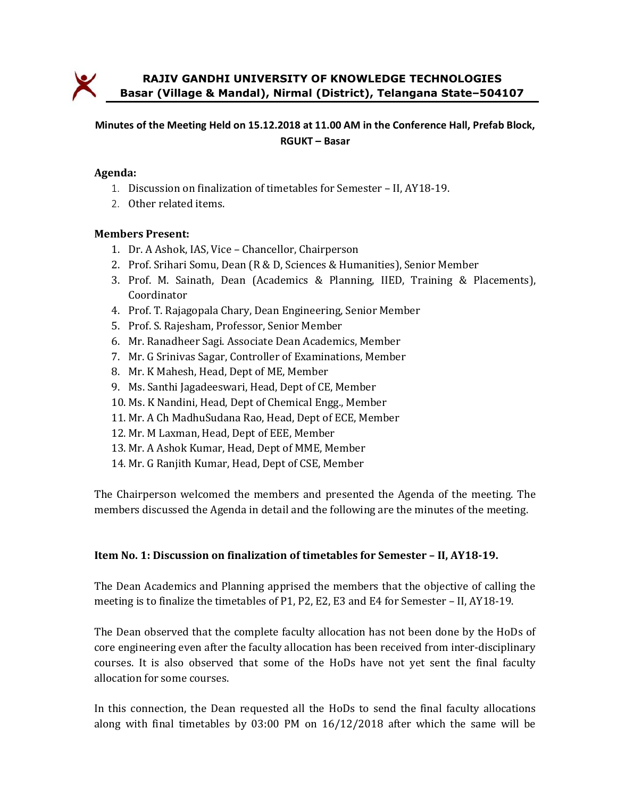

RAJIV GANDHI UNIVERSITY OF KNOWLEDGE TECHNOLOGIES Basar (Village & Mandal), Nirmal (District), Telangana State–504107

## Minutes of the Meeting Held on 15.12.2018 at 11.00 AM in the Conference Hall, Prefab Block, RGUKT – Basar

#### Agenda:

- 1. Discussion on finalization of timetables for Semester II, AY18-19.
- 2. Other related items.

#### Members Present:

- 1. Dr. A Ashok, IAS, Vice Chancellor, Chairperson
- 2. Prof. Srihari Somu, Dean (R & D, Sciences & Humanities), Senior Member
- 3. Prof. M. Sainath, Dean (Academics & Planning, IIED, Training & Placements), Coordinator
- 4. Prof. T. Rajagopala Chary, Dean Engineering, Senior Member
- 5. Prof. S. Rajesham, Professor, Senior Member
- 6. Mr. Ranadheer Sagi. Associate Dean Academics, Member
- 7. Mr. G Srinivas Sagar, Controller of Examinations, Member
- 8. Mr. K Mahesh, Head, Dept of ME, Member
- 9. Ms. Santhi Jagadeeswari, Head, Dept of CE, Member
- 10. Ms. K Nandini, Head, Dept of Chemical Engg., Member
- 11. Mr. A Ch MadhuSudana Rao, Head, Dept of ECE, Member
- 12. Mr. M Laxman, Head, Dept of EEE, Member
- 13. Mr. A Ashok Kumar, Head, Dept of MME, Member
- 14. Mr. G Ranjith Kumar, Head, Dept of CSE, Member

The Chairperson welcomed the members and presented the Agenda of the meeting. The members discussed the Agenda in detail and the following are the minutes of the meeting.

#### Item No. 1: Discussion on finalization of timetables for Semester – II, AY18-19.

The Dean Academics and Planning apprised the members that the objective of calling the meeting is to finalize the timetables of P1, P2, E2, E3 and E4 for Semester – II, AY18-19.

The Dean observed that the complete faculty allocation has not been done by the HoDs of core engineering even after the faculty allocation has been received from inter-disciplinary courses. It is also observed that some of the HoDs have not yet sent the final faculty allocation for some courses.

In this connection, the Dean requested all the HoDs to send the final faculty allocations along with final timetables by 03:00 PM on 16/12/2018 after which the same will be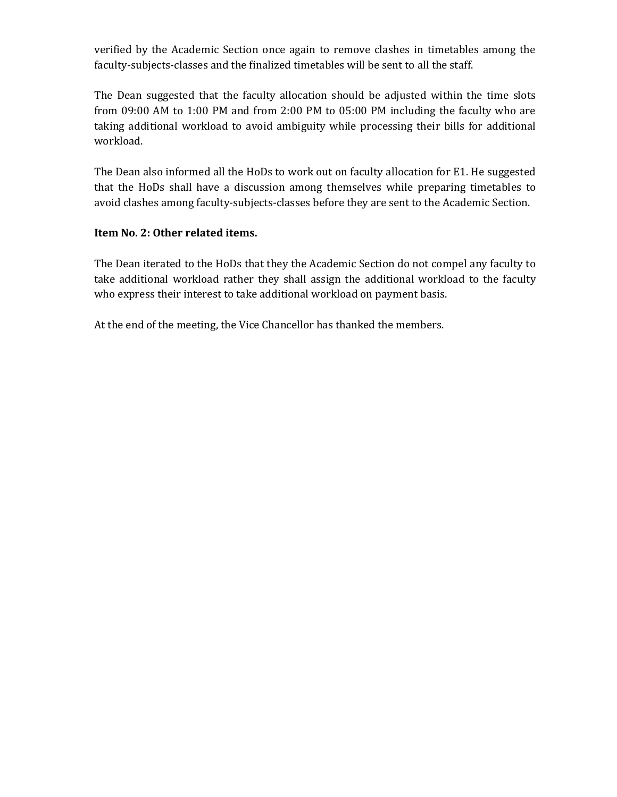verified by the Academic Section once again to remove clashes in timetables among the faculty-subjects-classes and the finalized timetables will be sent to all the staff.

The Dean suggested that the faculty allocation should be adjusted within the time slots from 09:00 AM to 1:00 PM and from 2:00 PM to 05:00 PM including the faculty who are taking additional workload to avoid ambiguity while processing their bills for additional workload.

The Dean also informed all the HoDs to work out on faculty allocation for E1. He suggested that the HoDs shall have a discussion among themselves while preparing timetables to avoid clashes among faculty-subjects-classes before they are sent to the Academic Section.

## Item No. 2: Other related items.

The Dean iterated to the HoDs that they the Academic Section do not compel any faculty to take additional workload rather they shall assign the additional workload to the faculty who express their interest to take additional workload on payment basis.

At the end of the meeting, the Vice Chancellor has thanked the members.